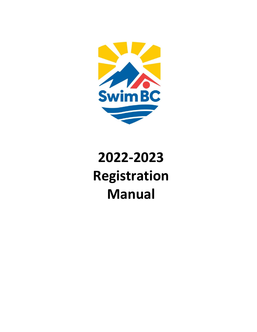

# **2022-2023 Registration Manual**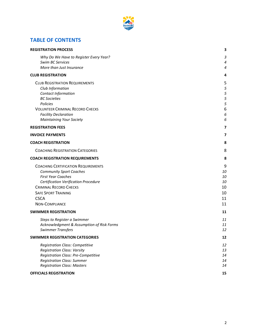

# **TABLE OF CONTENTS**

| <b>REGISTRATION PROCESS</b>                                           | 3        |
|-----------------------------------------------------------------------|----------|
| Why Do We Have to Register Every Year?                                | 3        |
| Swim BC Services                                                      | 4        |
| More than Just Insurance                                              | 4        |
| <b>CLUB REGISTRATION</b>                                              | 4        |
| <b>CLUB REGISTRATION REQUIREMENTS</b>                                 | 5        |
| Club Information                                                      | 5        |
| Contact Information                                                   | 5        |
| <b>BC</b> Societies<br>Policies                                       | 5<br>5   |
| <b>VOLUNTEER CRIMINAL RECORD CHECKS</b>                               | 6        |
| <b>Facility Declaration</b>                                           | 6        |
| <b>Maintaining Your Society</b>                                       | 6        |
| <b>REGISTRATION FEES</b>                                              | 7        |
| <b>INVOICE PAYMENTS</b>                                               | 7        |
| <b>COACH REGISTRATION</b>                                             | 8        |
| <b>COACHING REGISTRATION CATEGORIES</b>                               | 8        |
|                                                                       |          |
| <b>COACH REGISTRATION REQUIREMENTS</b>                                | 8        |
| <b>COACHING CERTIFICATION REQUIREMENTS</b>                            | 9        |
| <b>Community Sport Coaches</b>                                        | 10       |
| <b>First Year Coaches</b>                                             | 10<br>10 |
| Certification Verification Procedure<br><b>CRIMINAL RECORD CHECKS</b> | 10       |
| <b>SAFE SPORT TRAINING</b>                                            | 10       |
| <b>CSCA</b>                                                           | 11       |
| NON-COMPLIANCE                                                        | 11       |
| <b>SWIMMER REGISTRATION</b>                                           | 11       |
| Steps to Register a Swimmer                                           | 11       |
| Acknowledgment & Assumption of Risk Forms                             | 11       |
| <b>Swimmer Transfers</b>                                              | 12       |
| <b>SWIMMER REGISTRATION CATEGORIES</b>                                | 12       |
| <b>Registration Class: Competitive</b>                                | 12       |
| <b>Registration Class: Varsity</b>                                    | 13       |
| Registration Class: Pre-Competitive                                   | 14       |
| <b>Registration Class: Summer</b>                                     | 14       |
| <b>Registration Class: Masters</b>                                    | 14       |
| <b>OFFICIALS REGISTRATION</b>                                         | 15       |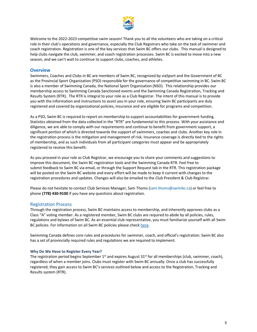

Welcome to the 2022-2023 competitive swim season! Thank you to all the volunteers who are taking on a critical role in their club's operations and governance, especially the Club Registrars who take on the task of swimmer and coach registration. Registration is one of the key services that Swim BC offers our clubs. This manual is designed to help clubs navigate the club, swimmer, and coach registration processes. Swim BC is excited to move into a new season, and we can't wait to continue to support clubs, coaches, and athletes.

#### **Overview**

Swimmers, Coaches and Clubs in BC are members of Swim BC, recognized by viaSport and the Government of BC as the Provincial Sport Organization (PSO) responsible for the governance of competitive swimming in BC. Swim BC is also a member of Swimming Canada, the National Sport Organization (NSO). This relationship provides our membership access to Swimming Canada Sanctioned events and the Swimming Canada Registration, Tracking and Results System (RTR). The RTR is integral to your role as a Club Registrar. The intent of this manual is to provide you with the information and instructions to assist you in your role, ensuring Swim BC participants are duly registered and covered by organizational policies, insurance and are eligible for programs and competition.

As a PSO, Swim BC is required to report on membership to support accountabilities for government funding. Statistics obtained from the data collected in the "RTR" are fundamental to this process. With your assistance and diligence, we are able to comply with our requirements and continue to benefit from government support, a significant portion of which is directed towards the support of swimmers, coaches and clubs. Another key role in the registration process is the mitigation and management of risk. Insurance coverage is directly tied to the rights of membership, and as such individuals from all participant categories must appear and be appropriately registered to receive this benefit.

As you proceed in your role as Club Registrar, we encourage you to share your comments and suggestions to improve this document, the Swim BC registration tools and the Swimming Canada RTR. Feel free to submit feedback to Swim BC via email, or through the Support Request tab in the RTR. This registration package will be posted on the Swim BC website and every effort will be made to keep it current with changes to the registration procedures and updates. Changes will also be emailed to the Club President & Club Registrar.

Please do not hesitate to contact Club Services Manager, Sam Thoms (sam.thoms@swimbc.ca) or feel free to phone **(778) 430-9100** if you have any questions about registration.

#### <span id="page-2-0"></span>Registration Process

Through the registration process, Swim BC maintains access to membership, and inherently approves clubs as a Class "A" voting member. As a registered member, Swim BC clubs are required to abide by all policies, rules, regulations and bylaws of Swim BC. As an essential club representative, you must familiarize yourself with all Swim BC policies. For information on all Swim BC policies please check [here.](https://swimbc.ca/governance/policies/)

Swimming Canada defines core rules and procedures for swimmer, coach, and official's registration. Swim BC also has a set of provincially required rules and regulations we are required to implement.

#### <span id="page-2-1"></span>**Why Do We Have to Register Every Year?**

The registration period begins September  $1<sup>st</sup>$  and expires August  $31<sup>st</sup>$  for all memberships (club, swimmer, coach), regardless of when a member joins. Clubs must register with Swim BC annually. Once a club has successfully registered, they gain access to Swim BC's services outlined below and access to the Registration, Tracking and Results system (RTR).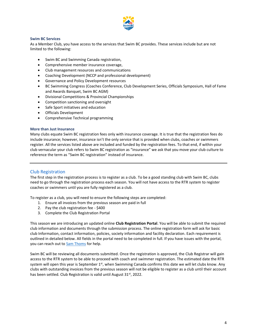

#### <span id="page-3-0"></span>**Swim BC Services**

As a Member Club, you have access to the services that Swim BC provides. These services include but are not limited to the following:

- Swim BC and Swimming Canada registration,
- Comprehensive member insurance coverage,
- Club management resources and communications
- Coaching Development (NCCP and professional development)
- Governance and Policy Development resources
- BC Swimming Congress (Coaches Conference, Club Development Series, Officials Symposium, Hall of Fame and Awards Banquet, Swim BC AGM)
- Divisional Competitions & Provincial Championships
- Competition sanctioning and oversight
- Safe Sport initiatives and education
- Officials Development
- Comprehensive Technical programming

#### <span id="page-3-1"></span>**More than Just Insurance**

Many clubs equate Swim BC registration fees only with insurance coverage. It is true that the registration fees do include insurance; however, insurance isn't the only service that is provided when clubs, coaches or swimmers register. All the services listed above are included and funded by the registration fees. To that end, if within your club vernacular your club refers to Swim BC registration as "insurance" we ask that you move your club culture to reference the term as "Swim BC registration" instead of insurance.

#### <span id="page-3-2"></span>Club Registration

The first step in the registration process is to register as a club. To be a good standing club with Swim BC, clubs need to go through the registration process each season. You will not have access to the RTR system to register coaches or swimmers until you are fully registered as a club.

To register as a club, you will need to ensure the following steps are completed:

- 1. Ensure all invoices from the previous season are paid in full
- 2. Pay the club registration fee \$400
- 3. Complete the Club Registration Portal

This season we are introducing an updated online **Club Registration Portal**. You will be able to submit the required club information and documents through the submission process. The online registration form will ask for basic club Information, contact information, policies, society information and facility declaration. Each requirement is outlined in detailed below. All fields in the portal need to be completed in full. If you have issues with the portal, you can reach out to **Sam Thoms** for help.

Swim BC will be reviewing all documents submitted. Once the registration is approved, the Club Registrar will gain access to the RTR system to be able to proceed with coach and swimmer registration. The estimated date the RTR system will open this year is September 1<sup>st</sup>, when Swimming Canada confirms this date we will let clubs know. Any clubs with outstanding invoices from the previous season will not be eligible to register as a club until their account has been settled. Club Registration is valid until August 31st, 2022.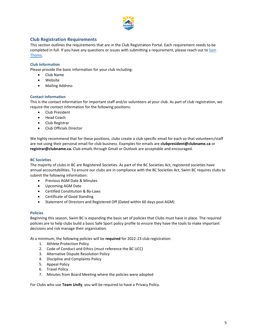

# <span id="page-4-0"></span>**Club Registration Requirements**

This section outlines the requirements that are in the Club Registration Portal. Each requirement needs to be completed in full. If you have any questions or issues with submitting a requirement, please reach out to Sam [Thoms.](mailto:sam.thoms@swimbc.ca)

#### <span id="page-4-1"></span>**Club Information**

Please provide the basic information for your club including:

- Club Name
- Website
- Mailing Address

#### <span id="page-4-2"></span>**Contact Information**

This is the contact information for important staff and/or volunteers at your club. As part of club registration, we require the contact information for the following positions:

- Club President
- Head Coach
- Club Registrar
- Club Officials Director

We highly recommend that for these positions, clubs create a club specific email for each so that volunteers/staff are not using their personal email for club business. Examples for emails are **clubpresident@clubname.ca** or **registrar@clubname.ca.** Club emails through Gmail or Outlook are acceptable and encouraged.

#### <span id="page-4-3"></span>**BC Societies**

The majority of clubs in BC are Registered Societies. As part of the BC Societies Act, registered societies have annual accountabilities. To ensure our clubs are in compliance with the BC Societies Act, Swim BC requires clubs to submit the following information:

- Previous AGM Date & Minutes
- Upcoming AGM Date
- Certified Constitution & By-Laws
- Certificate of Good Standing
- Statement of Directors and Registered Off (Dated within 60 days post AGM)

#### <span id="page-4-4"></span>**Policies**

Beginning this season, Swim BC is expanding the basic set of policies that Clubs must have in place. The required policies are to help clubs build a basic Safe Sport policy profile to ensure they have the tools to make important decisions and risk manage their organization.

At a minimum, the following policies will be **required** for 2022-23 club registration:

- 1. Athlete Protection Policy
- 2. Code of Conduct and Ethics (must reference the BC UCC)
- 3. Alternative Dispute Resolution Policy
- 4. Discipline and Complaints Policy
- 5. Appeal Policy
- 6. Travel Policy
- 7. Minutes from Board Meeting where the policies were adopted

For Clubs who use **Team Unify**, you will be required to have a Privacy Policy.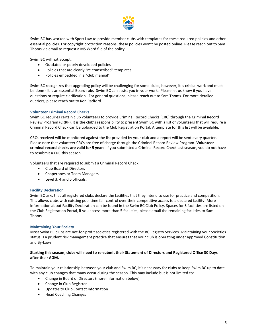

Swim BC has worked with Sport Law to provide member clubs with templates for these required policies and other essential policies. For copyright protection reasons, these policies won't be posted online. Please reach out to Sam Thoms via email to request a MS Word file of the policy.

Swim BC will not accept:

- Outdated or poorly developed policies
- Policies that are clearly "re-transcribed" templates
- Policies embedded in a "club manual"

Swim BC recognizes that upgrading policy will be challenging for some clubs, however, it is critical work and must be done - it is an essential Board role. Swim BC can assist you in your work. Please let us know if you have questions or require clarification. For general questions, please reach out to Sam Thoms. For more detailed queriers, please reach out to Ken Radford.

#### <span id="page-5-0"></span>**Volunteer Criminal Record Checks**

Swim BC requires certain club volunteers to provide Criminal Record Checks (CRC) through the Criminal Record Review Program (CRRP). It is the club's responsibility to present Swim BC with a list of volunteers that will require a Criminal Record Check can be uploaded to the Club Registration Portal. A template for this list will be available.

CRCs received will be monitored against the list provided by your club and a report will be sent every quarter. Please note that volunteer CRCs are free of charge through the Criminal Record Review Program. **Volunteer criminal record checks are valid for 5 years**. If you submitted a Criminal Record Check last season, you do not have to resubmit a CRC this season.

Volunteers that are required to submit a Criminal Record Check:

- Club Board of Directors
- Chaperones or Team Managers
- Level 3, 4 and 5 officials.

#### <span id="page-5-1"></span>**Facility Declaration**

Swim BC asks that all registered clubs declare the facilities that they intend to use for practice and competition. This allows clubs with existing pool time fair control over their competitive access to a declared facility. More information about Facility Declaration can be found in the Swim BC Club Policy. Spaces for 5 facilities are listed on the Club Registration Portal, if you access more than 5 facilities, please email the remaining facilities to Sam Thoms.

#### <span id="page-5-2"></span>**Maintaining Your Society**

Most Swim BC clubs are not-for-profit societies registered with the BC Registry Services. Maintaining your Societies status is a prudent risk management practice that ensures that your club is operating under approved Constitution and By-Laws.

#### **Starting this season, clubs will need to re-submit their Statement of Directors and Registered Office 30 Days after their AGM.**

To maintain your relationship between your club and Swim BC, it's necessary for clubs to keep Swim BC up to date with any club changes that many occur during the season. This may include but is not limited to:

- Change in Board of Directors (more information below)
- Change in Club Registrar
- Updates to Club Contact Information
- Head Coaching Changes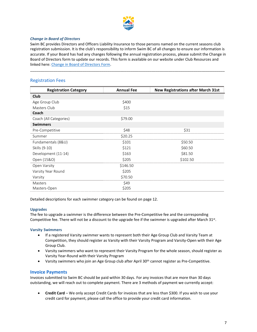

#### *Change in Board of Directors*

Swim BC provides Directors and Officers Liability Insurance to those persons named on the current seasons club registration submission. It is the club's responsibility to inform Swim BC of all changes to ensure our information is accurate. If your Board has had any changes following the annual registration process, please submit the Change in Board of Directors form to update our records. This form is available on our website under Club Resources and linked here: [Change in Board of Directors Form.](https://static1.squarespace.com/static/54079aafe4b046dc42950d2c/t/5ef3bd2b107f4727a806065b/1593031979911/Change+in+Board+of+Directors+Form+%28fillable%29.pdf)

<span id="page-6-0"></span>\_\_\_\_\_\_\_\_\_\_\_\_\_\_\_\_\_\_\_\_\_\_\_\_\_\_\_\_\_\_\_\_\_\_\_\_\_\_\_\_\_\_\_\_\_\_\_\_\_\_\_\_\_\_\_\_\_\_\_\_\_\_\_\_\_\_\_\_\_\_\_\_\_\_\_\_\_\_\_\_\_\_\_\_\_\_\_\_\_\_\_\_\_

# Registration Fees

| <b>Registration Category</b> | <b>Annual Fee</b> | <b>New Registrations after March 31st</b> |
|------------------------------|-------------------|-------------------------------------------|
| Club                         |                   |                                           |
| Age Group Club               | \$400             |                                           |
| Masters Club                 | \$15              |                                           |
| Coach                        |                   |                                           |
| Coach (All Categories)       | \$79.00           |                                           |
| <b>Swimmers</b>              |                   |                                           |
| Pre-Competitive              | \$48              | \$31                                      |
| Summer                       | \$20.25           |                                           |
| Fundamentals (8&U)           | \$101             | \$50.50                                   |
| Skills (9-10)                | \$121             | \$60.50                                   |
| Development (11-14)          | \$163             | \$81.50                                   |
| Open (15&O)                  | \$205             | \$102.50                                  |
| Open Varsity                 | \$146.50          |                                           |
| Varsity Year Round           | \$205             |                                           |
| Varsity                      | \$70.50           |                                           |
| Masters                      | \$49              |                                           |
| Masters-Open                 | \$205             |                                           |

Detailed descriptions for each swimmer category can be found on page 12.

#### **Upgrades**

The fee to upgrade a swimmer is the difference between the Pre-Competitive fee and the corresponding Competitive fee. There will not be a discount to the upgrade fee if the swimmer is upgraded after March 31st.

#### **Varsity Swimmers**

- If a registered Varsity swimmer wants to represent both their Age Group Club and Varsity Team at Competition, they should register as Varsity with their Varsity Program and Varsity-Open with their Age Group Club.
- Varsity swimmers who want to represent their Varsity Program for the whole season, should register as Varsity Year-Round with their Varsity Program
- Varsity swimmers who join an Age Group club after April 30<sup>th</sup> cannot register as Pre-Competitive.

#### <span id="page-6-1"></span>**Invoice Payments**

Invoices submitted to Swim BC should be paid within 30 days. For any invoices that are more than 30 days outstanding, we will reach out to complete payment. There are 3 methods of payment we currently accept:

• **Credit Card** – We only accept Credit Cards for invoices that are less than \$300. If you wish to use your credit card for payment, please call the office to provide your credit card information.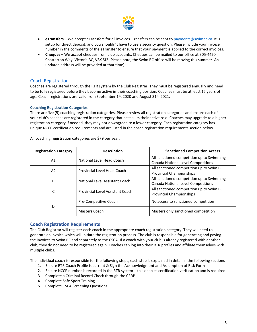

- **eTransfers** We accept eTransfers for all invoices. Transfers can be sent to [payments@swimbc.ca.](mailto:payments@swimbc.ca) It is setup for direct deposit, and you shouldn't have to use a security question. Please include your invoice number in the comments of the eTransfer to ensure that your payment is applied to the correct invoices.
- **Cheques** We accept cheques from club accounts. Cheques can be mailed to our office at 305-4420 Chatterton Way, Victoria BC, V8X 5J2 (Please note, the Swim BC office will be moving this summer. An updated address will be provided at that time)

<span id="page-7-0"></span>\_\_\_\_\_\_\_\_\_\_\_\_\_\_\_\_\_\_\_\_\_\_\_\_\_\_\_\_\_\_\_\_\_\_\_\_\_\_\_\_\_\_\_\_\_\_\_\_\_\_\_\_\_\_\_\_\_\_\_\_\_\_\_\_\_\_\_\_\_\_\_\_\_\_\_\_\_\_\_\_\_\_\_\_\_\_\_\_\_\_\_\_\_

# Coach Registration

Coaches are registered through the RTR system by the Club Registrar. They must be registered annually and need to be fully registered before they become active in their coaching position. Coaches must be at least 15 years of age. Coach registrations are valid from September 1st, 2020 and August 31st, 2021.

#### <span id="page-7-1"></span>**Coaching Registration Categories**

There are five (5) coaching registration categories. Please review all registration categories and ensure each of your club's coaches are registered in the category that best suits their active role. Coaches may upgrade to a higher registration category if needed, they may not downgrade to a lower category. Each registration category has unique NCCP certification requirements and are listed in the coach registration requirements section below.

| <b>Registration Category</b> | <b>Description</b>               | <b>Sanctioned Competition Access</b>      |
|------------------------------|----------------------------------|-------------------------------------------|
| A1                           | National Level Head Coach        | All sanctioned competition up to Swimming |
|                              |                                  | Canada National Level Competitions        |
| A <sub>2</sub>               | Provincial Level Head Coach      | All sanctioned competition up to Swim BC  |
|                              |                                  | <b>Provincial Championships</b>           |
| В                            | National Level Assistant Coach   | All sanctioned competition up to Swimming |
|                              |                                  | Canada National Level Competitions        |
| C                            | Provincial Level Assistant Coach | All sanctioned competition up to Swim BC  |
|                              |                                  | <b>Provincial Championships</b>           |
| D                            | Pre-Competitive Coach            | No access to sanctioned competition       |
|                              | Masters Coach                    | Masters only sanctioned competition       |

All coaching registration categories are \$79 per year.

# <span id="page-7-2"></span>**Coach Registration Requirements**

The Club Registrar will register each coach in the appropriate coach registration category. They will need to generate an invoice which will initiate the registration process. The club is responsible for generating and paying the invoices to Swim BC and separately to the CSCA. If a coach with your club is already registered with another club, they do not need to be registered again. Coaches can log into their RTR profiles and affiliate themselves with multiple clubs.

The individual coach is responsible for the following steps, each step is explained in detail in the following sections

- 1. Ensure RTR Coach Profile is current & Sign the Acknowledgment and Assumption of Risk Form
- 2. Ensure NCCP number is recorded in the RTR system this enables certification verification and is required
- 3. Complete a Criminal Record Check through the CRRP
- 4. Complete Safe Sport Training
- 5. Complete CSCA Screening Questions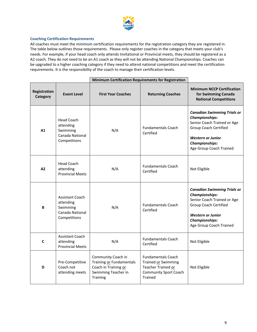

#### <span id="page-8-0"></span>**Coaching Certification Requirements**

All coaches must meet the minimum certification requirements for the registration category they are registered in. The table below outlines those requirements. Please only register coaches in the category that meets your club's needs. For example, if your head coach only attends Invitational or Provincial meets, they should be registered as a A2 coach. They do not need to be an A1 coach as they will not be attending National Championships. Coaches can be upgraded to a higher coaching category if they need to attend national competitions and meet the certification requirements. It is the responsibility of the coach to manage their certification levels.

|                                 |                                                                                    | <b>Minimum Certification Requirements for Registration</b>                                                |                                                                                                                   |                                                                                                                                                                                                            |
|---------------------------------|------------------------------------------------------------------------------------|-----------------------------------------------------------------------------------------------------------|-------------------------------------------------------------------------------------------------------------------|------------------------------------------------------------------------------------------------------------------------------------------------------------------------------------------------------------|
| <b>Registration</b><br>Category | <b>Event Level</b>                                                                 | <b>First Year Coaches</b>                                                                                 | <b>Returning Coaches</b>                                                                                          | <b>Minimum NCCP Certification</b><br>for Swimming Canada<br><b>National Competitions</b>                                                                                                                   |
| A1                              | <b>Head Coach</b><br>attending<br>Swimming<br>Canada National<br>Competitions      | N/A                                                                                                       | <b>Fundamentals Coach</b><br>Certified                                                                            | <b>Canadian Swimming Trials or</b><br><b>Championships:</b><br>Senior Coach Trained or Age<br><b>Group Coach Certified</b><br><b>Western or Junior</b><br><b>Championships:</b><br>Age Group Coach Trained |
| A2                              | <b>Head Coach</b><br>attending<br><b>Provincial Meets</b>                          | N/A                                                                                                       | <b>Fundamentals Coach</b><br>Certified                                                                            | Not Eligible                                                                                                                                                                                               |
| В                               | <b>Assistant Coach</b><br>attending<br>Swimming<br>Canada National<br>Competitions | N/A                                                                                                       | <b>Fundamentals Coach</b><br>Certified                                                                            | <b>Canadian Swimming Trials or</b><br><b>Championships:</b><br>Senior Coach Trained or Age<br><b>Group Coach Certified</b><br><b>Western or Junior</b><br><b>Championships:</b><br>Age Group Coach Trained |
| C                               | Assistant Coach<br>attending<br><b>Provincial Meets</b>                            | N/A                                                                                                       | <b>Fundamentals Coach</b><br>Certified                                                                            | Not Eligible                                                                                                                                                                                               |
| D                               | Pre-Competitive<br>Coach not<br>attending meets                                    | Community Coach in<br>Training or Fundamentals<br>Coach in Training or<br>Swimming Teacher in<br>Training | <b>Fundamentals Coach</b><br>Trained or Swimming<br>Teacher Trained or<br><b>Community Sport Coach</b><br>Trained | Not Eligible                                                                                                                                                                                               |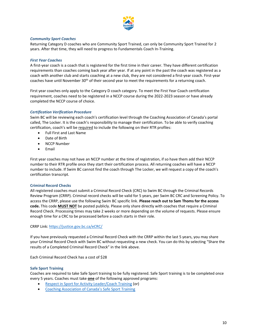

#### <span id="page-9-0"></span>*Community Sport Coaches*

Returning Category D coaches who are Community Sport Trained, can only be Community Sport Trained for 2 years. After that time, they will need to progress to Fundamentals Coach In-Training.

#### <span id="page-9-1"></span>*First Year Coaches*

A first-year coach is a coach that is registered for the first time in their career. They have different certification requirements than coaches coming back year after year. If at any point in the past the coach was registered as a coach with another club and starts coaching at a new club, they are not considered a first-year coach. First-year coaches have until November 30<sup>th</sup> of their second year to meet the requirements for a returning coach.

First year coaches only apply to the Category D coach category. To meet the First Year Coach certification requirement, coaches need to be registered in a NCCP course during the 2022-2023 season or have already completed the NCCP course of choice.

#### <span id="page-9-2"></span>*Certification Verification Procedure*

Swim BC will be reviewing each coach's certification level through the Coaching Association of Canada's portal called, The Locker. It is the coach's responsibility to manage their certification. To be able to verify coaching certification, coach's will be required to include the following on their RTR profiles:

- Full First and Last Name
- Date of Birth
- **NCCP Number**
- Email

First year coaches may not have an NCCP number at the time of registration, if so have them add their NCCP number to their RTR profile once they start their certification process. All returning coaches will have a NCCP number to include. If Swim BC cannot find the coach through The Locker, we will request a copy of the coach's certification transcript.

#### <span id="page-9-3"></span>**Criminal Record Checks**

All registered coaches must submit a Criminal Record Check (CRC) to Swim BC through the Criminal Records Review Program (CRRP). Criminal record checks will be valid for 5 years, per Swim BC CRC and Screening Policy. To access the CRRP, please use the following Swim BC specific link. **Please reach out to Sam Thoms for the access code.** This code **MUST NOT** be posted publicly. Please only share directly with coaches that require a Criminal Record Check. Processing times may take 2 weeks or more depending on the volume of requests. Please ensure enough time for a CRC to be processed before a coach starts in their role.

CRRP Link:<https://justice.gov.bc.ca/eCRC/>

If you have previously requested a Criminal Record Check with the CRRP within the last 5 years, you may share your Criminal Record Check with Swim BC without requesting a new check. You can do this by selecting "Share the results of a Completed Criminal Record Check" in the link above.

Each Criminal Record Check has a cost of \$28

#### <span id="page-9-4"></span>**Safe Sport Training**

Coaches are required to take Safe Sport training to be fully registered. Safe Sport training is to be completed once every 5 years. Coaches must take **one** of the following approved programs:

- [Respect in Sport for Activity Leader/Coach Training](https://swimming-canada.respectgroupinc.com/) (or)
- [Coaching Association of Canada's Safe Sport Training](https://safesport.coach.ca/)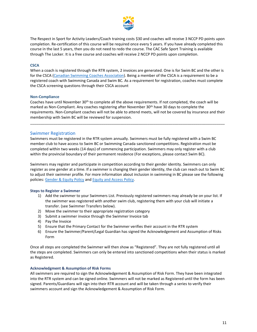

The Respect in Sport for Activity Leaders/Coach training costs \$30 and coaches will receive 3 NCCP PD points upon completion. Re-certification of this course will be required once every 5 years. If you have already completed this course in the last 5 years, then you do not need to redo the course. The CAC Safe Sport Training is available through The Locker. It is a free course and coaches will receive 2 NCCP PD points upon completion.

#### <span id="page-10-0"></span>**CSCA**

When a coach is registered through the RTR system, 2 invoices are generated. One is for Swim BC and the other is for the CSCA [\(Canadian Swimming Coaches Association\)](https://www.csca.org/). Being a member of the CSCA is a requirement to be a registered coach with Swimming Canada and Swim BC. As a requirement for registration, coaches must complete the CSCA screening questions through their CSCA account

#### <span id="page-10-1"></span>**Non-Compliance**

Coaches have until November 30<sup>th</sup> to complete all the above requirements. If not completed, the coach will be marked as Non-Compliant. Any coaches registering after November 30<sup>th</sup> have 30 days to complete the requirements. Non-Compliant coaches will not be able to attend meets, will not be covered by insurance and their membership with Swim BC will be reviewed for suspension.

<span id="page-10-2"></span>\_\_\_\_\_\_\_\_\_\_\_\_\_\_\_\_\_\_\_\_\_\_\_\_\_\_\_\_\_\_\_\_\_\_\_\_\_\_\_\_\_\_\_\_\_\_\_\_\_\_\_\_\_\_\_\_\_\_\_\_\_\_\_\_\_\_\_\_\_\_\_\_\_\_\_\_\_\_\_\_\_\_\_\_\_\_\_\_\_\_\_\_\_

#### Swimmer Registration

Swimmers must be registered in the RTR system annually. Swimmers must be fully registered with a Swim BC member club to have access to Swim BC or Swimming Canada sanctioned competitions. Registration must be completed within two weeks (14 days) of commencing participation. Swimmers may only register with a club within the provincial boundary of their permanent residence (For exceptions, please contact Swim BC).

Swimmers may register and participate in competition according to their gender identity. Swimmers can only register as one gender at a time. If a swimmer is changing their gender identity, the club can reach out to Swim BC to adjust their swimmer profile. For more information about inclusion in swimming in BC please see the following policies[: Gender & Equity Policy](https://swimbc.ca/wp-content/uploads/2020-02-27-SBC-Gender-Equity-Policy-Approved.pdf) an[d Equity and Access Policy.](https://swimbc.ca/wp-content/uploads/2020-02-27-SBC-Equity-and-Access-Approved.pdf)

#### <span id="page-10-3"></span>**Steps to Register a Swimmer**

- 1) Add the swimmer to your Swimmers List. Previously registered swimmers may already be on your list. If the swimmer was registered with another swim club, registering them with your club will initiate a transfer. (see Swimmer Transfers below).
- 2) Move the swimmer to their appropriate registration category
- 3) Submit a swimmer invoice through the Swimmer Invoice tab
- 4) Pay the Invoice
- 5) Ensure that the Primary Contact for the Swimmer verifies their account in the RTR system
- 6) Ensure the Swimmer/Parent/Legal Guardian has signed the Acknowledgement and Assumption of Risks Form

Once all steps are completed the Swimmer will then show as "Registered". They are not fully registered until all the steps are completed. Swimmers can only be entered into sanctioned competitions when their status is marked as Registered.

#### <span id="page-10-4"></span>**Acknowledgment & Assumption of Risk Forms**

All swimmers are required to sign the Acknowledgement & Assumption of Risk Form. They have been integrated into the RTR system and can be signed online. Swimmers will not be marked as Registered until the form has been signed. Parents/Guardians will sign into their RTR account and will be taken through a series to verify their swimmers account and sign the Acknowledgement & Assumption of Risk Form.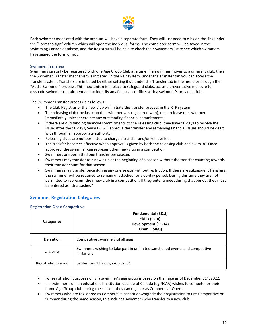

Each swimmer associated with the account will have a separate form. They will just need to click on the link under the "Forms to sign" column which will open the individual forms. The completed form will be saved in the Swimming Canada database, and the Registrar will be able to check their Swimmers list to see which swimmers have signed the form or not.

#### <span id="page-11-0"></span>**Swimmer Transfers**

Swimmers can only be registered with one Age Group Club at a time. If a swimmer moves to a different club, then the Swimmer Transfer mechanism is initiated. In the RTR system, under the Transfer tab you can access the transfer system. Transfers are initiated by either setting it up under the Transfer tab in the menu or through the "Add a Swimmer" process. This mechanism is in place to safeguard clubs, act as a preventative measure to dissuade swimmer recruitment and to identify any financial conflicts with a swimmer's previous club.

The Swimmer Transfer process is as follows:

- The Club Registrar of the new club will initiate the transfer process in the RTR system
- The releasing club (the last club the swimmer was registered with), must release the swimmer immediately unless there are any outstanding financial commitments
- If there are outstanding financial commitments to the releasing club, they have 90 days to resolve the issue. After the 90 days, Swim BC will approve the transfer any remaining financial issues should be dealt with through an appropriate authority.
- Releasing clubs are not permitted to charge a transfer and/or release fee.
- The transfer becomes effective when approval is given by both the releasing club and Swim BC. Once approved, the swimmer can represent their new club in a competition.
- Swimmers are permitted one transfer per season.
- Swimmers may transfer to a new club at the beginning of a season without the transfer counting towards their transfer count for that season.
- Swimmers may transfer once during any one season without restriction. If there are subsequent transfers, the swimmer will be required to remain unattached for a 60-day period. During this time they are not permitted to represent their new club in a competition. If they enter a meet during that period, they must be entered as "Unattached"

## <span id="page-11-1"></span>**Swimmer Registration Categories**

#### <span id="page-11-2"></span>**Registration Class: Competitive**

| <b>Categories</b>          | Fundamental (8&U)<br><b>Skills (9-10)</b><br>Development (11-14)<br>Open (15&O)             |  |
|----------------------------|---------------------------------------------------------------------------------------------|--|
| Definition                 | Competitive swimmers of all ages                                                            |  |
| Eligibility                | Swimmers wishing to take part in unlimited sanctioned events and competitive<br>initiatives |  |
| <b>Registration Period</b> | September 1 through August 31                                                               |  |

- For registration purposes only, a swimmer's age group is based on their age as of December  $31^{st}$ , 2022.
- If a swimmer from an educational institution outside of Canada (eg NCAA) wishes to compete for their home Age Group club during the season, they can register as Competitive-Open.
- Swimmers who are registered as Competitive cannot downgrade their registration to Pre-Competitive or Summer during the same season, this includes swimmers who transfer to a new club.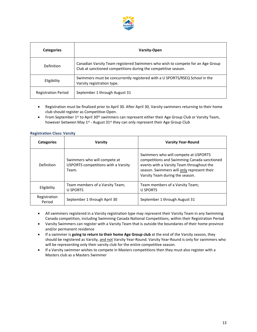

| <b>Categories</b>          | <b>Varsity-Open</b>                                                                                                                              |
|----------------------------|--------------------------------------------------------------------------------------------------------------------------------------------------|
| Definition                 | Canadian Varsity Team registered Swimmers who wish to compete for an Age Group<br>Club at sanctioned competitions during the competitive season. |
| Eligibility                | Swimmers must be concurrently registered with a U SPORTS/RSEQ School in the<br>Varsity registration type.                                        |
| <b>Registration Period</b> | September 1 through August 31                                                                                                                    |

- Registration must be finalized prior to April 30. After April 30, Varsity swimmers returning to their home club should register as Competitive-Open.
- From September  $1<sup>st</sup>$  to April 30<sup>th</sup> swimmers can represent either their Age Group Club or Varsity Team, however between May 1<sup>st</sup> - August 31<sup>st</sup> they can only represent their Age Group Club

<span id="page-12-0"></span>

| <b>Categories</b>      | Varsity                                                                      | <b>Varsity Year-Round</b>                                                                                                                                                                                         |
|------------------------|------------------------------------------------------------------------------|-------------------------------------------------------------------------------------------------------------------------------------------------------------------------------------------------------------------|
| Definition             | Swimmers who will compete at<br>USPORTS competitions with a Varsity<br>Team. | Swimmers who will compete at USPORTS<br>competitions and Swimming Canada sanctioned<br>events with a Varsity Team throughout the<br>season. Swimmers will only represent their<br>Varsity Team during the season. |
| Eligibility            | Team members of a Varsity Team;<br><b>U SPORTS</b>                           | Team members of a Varsity Team;<br><b>U SPORTS</b>                                                                                                                                                                |
| Registration<br>Period | September 1 through April 30                                                 | September 1 through August 31                                                                                                                                                                                     |

- All swimmers registered in a Varsity registration type may represent their Varsity Team in any Swimming Canada competition, including Swimming Canada National Competitions, within their Registration Period
- Varsity Swimmers can register with a Varsity Team that is outside the boundaries of their home province and/or permanent residence
- If a swimmer is **going to return to their home Age Group club** at the end of the Varsity season, they should be registered as Varsity, and not Varsity Year-Round. Varsity Year-Round is only for swimmers who will be representing only their varsity club for the entire competitive season.
- If a Varsity swimmer wishes to compete in Masters competitions then they must also register with a Masters club as a Masters Swimmer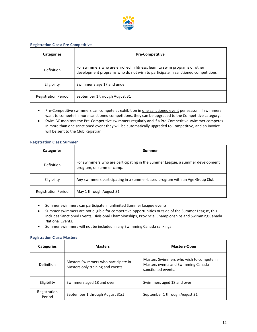

#### <span id="page-13-0"></span>**Registration Class: Pre-Competitive**

| <b>Categories</b>          | <b>Pre-Competitive</b>                                                                                                                                      |
|----------------------------|-------------------------------------------------------------------------------------------------------------------------------------------------------------|
| Definition                 | For swimmers who are enrolled in fitness, learn to swim programs or other<br>development programs who do not wish to participate in sanctioned competitions |
| Eligibility                | Swimmer's age 17 and under                                                                                                                                  |
| <b>Registration Period</b> | September 1 through August 31                                                                                                                               |

- Pre-Competitive swimmers can compete as exhibition in one sanctioned event per season. If swimmers want to compete in more sanctioned competitions, they can be upgraded to the Competitive category.
- Swim BC monitors the Pre-Competitive swimmers regularly and if a Pre-Competitive swimmer competes in more than one sanctioned event they will be automatically upgraded to Competitive, and an invoice will be sent to the Club Registrar

#### <span id="page-13-1"></span>**Registration Class: Summer**

| <b>Categories</b>          | Summer                                                                                                    |
|----------------------------|-----------------------------------------------------------------------------------------------------------|
| Definition                 | For swimmers who are participating in the Summer League, a summer development<br>program, or summer camp. |
| Eligibility                | Any swimmers participating in a summer-based program with an Age Group Club                               |
| <b>Registration Period</b> | May 1 through August 31                                                                                   |

- Summer swimmers can participate in unlimited Summer League events
- Summer swimmers are not eligible for competitive opportunities outside of the Summer League, this includes Sanctioned Events, Divisional Championships, Provincial Championships and Swimming Canada National Events.
- Summer swimmers will not be included in any Swimming Canada rankings

#### <span id="page-13-2"></span>**Registration Class: Masters**

| <b>Categories</b>      | <b>Masters</b>                                                           | <b>Masters-Open</b>                                                                                 |
|------------------------|--------------------------------------------------------------------------|-----------------------------------------------------------------------------------------------------|
| Definition             | Masters Swimmers who participate in<br>Masters only training and events. | Masters Swimmers who wish to compete in<br>Masters events and Swimming Canada<br>sanctioned events. |
| Eligibility            | Swimmers aged 18 and over                                                | Swimmers aged 18 and over                                                                           |
| Registration<br>Period | September 1 through August 31st                                          | September 1 through August 31                                                                       |